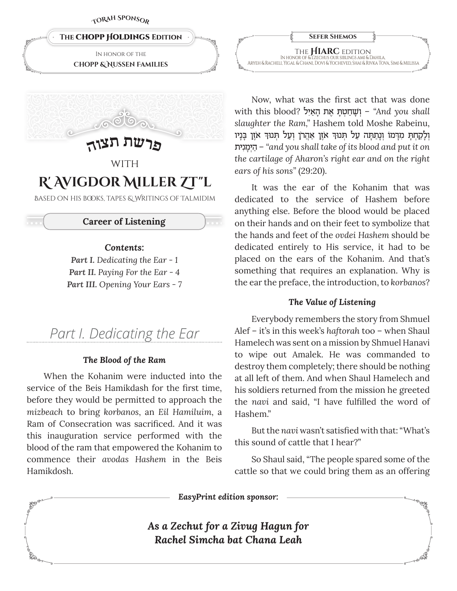

In honor of the **Chopp & Nussen Families**



# **WITH R' Avigdor Miller Zt"l**

Based on his books, tapes & Writings of Talmidim

# **Career of Listening**

# *Contents:*

*Part I. Dedicating the Ear - 1 Part II. Paying For the Ear - 4 Part III. Opening Your Ears - 7*

# *Part I. Dedicating the Ear*

# *The Blood of the Ram*

When the Kohanim were inducted into the service of the Beis Hamikdash for the first time, before they would be permitted to approach the *mizbeach* to bring *korbanos*, an *Eil Hamiluim*, a Ram of Consecration was sacrificed. And it was this inauguration service performed with the blood of the ram that empowered the Kohanim to commence their *avodas Hashem* in the Beis Hamikdosh*.*

|    | <b>SEFER SHEMOS</b>                                                                |  |
|----|------------------------------------------------------------------------------------|--|
|    | THE <b>HIARC</b> EDITION IN HONOR OF & L'ZECHUS OUR SIBLINGS AMI & DAHILA,         |  |
| O, | ARYEH & RACHELI, YIGAL & CHANI, DOVI & YOCHEVED, SHAI & RIVKA TOVA, SIMI & MELISSA |  |

Now, what was the first act that was done with this blood? ישׂחטת את האיל <sup>2</sup>And you shall *slaughter the Ram,"* Hashem told Moshe Rabeinu, ¿וְלָקַחְתָּ מִדְמוֹ וְנָתַתְּה עַל תְּנוּדְ אֹזֶן אַהֲרֹן וְעַל תְּנוּדְ אֹזֶן בָּנְיו ¿˙ניƒמָי¿הַ*"* – *and you shall take of its blood and put it on the cartilage of Aharon's right ear and on the right ears of his sons"* (29:20).

It was the ear of the Kohanim that was dedicated to the service of Hashem before anything else. Before the blood would be placed on their hands and on their feet to symbolize that the hands and feet of the *ovdei Hashem* should be dedicated entirely to His service, it had to be placed on the ears of the Kohanim. And that's something that requires an explanation. Why is the ear the preface, the introduction, to *korbanos*?

### *The Value of Listening*

Everybody remembers the story from Shmuel Alef – it's in this week's *haftorah* too – when Shaul Hamelech was sent on a mission by Shmuel Hanavi to wipe out Amalek. He was commanded to destroy them completely; there should be nothing at all left of them. And when Shaul Hamelech and his soldiers returned from the mission he greeted the *navi* and said, "I have fulfilled the word of Hashem."

But the *navi* wasn't satisfied with that: "What's this sound of cattle that I hear?"

So Shaul said, "The people spared some of the cattle so that we could bring them as an offering

*EasyPrint edition sponsor:*

*As a Zechut for a Zivug Hagun for Rachel Simcha bat Chana Leah*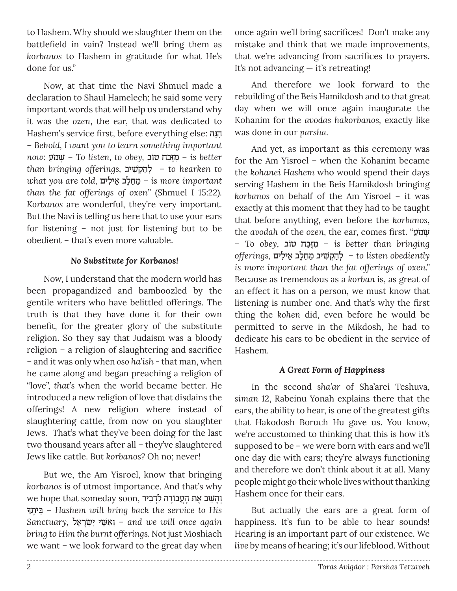to Hashem. Why should we slaughter them on the battlefield in vain? Instead we'll bring them as *korbanos* to Hashem in gratitude for what He's done for us."

Now, at that time the Navi Shmuel made a declaration to Shaul Hamelech; he said some very important words that will help us understand why it was the *ozen*, the ear, that was dedicated to Hashem's service first, before everything else: הנה – *Behold, I want you to learn something important now:* עַמֹ¿˘ ׁ – *To listen, to obey,* טובֹ בחַזּ∆מƒ – *is better than bringing offerings,* יב˘ƒׁ ˜¿ הַל – ¿*to hearken to*   $what$  you are told, מחֵלֵב אֵילים – is more important *than the fat offerings of oxen"* (Shmuel I 15:22)*. Korbanos* are wonderful, they're very important. But the Navi is telling us here that to use your ears for listening – not just for listening but to be obedient – that's even more valuable.

# *No Substitute for Korbanos!*

Now, I understand that the modern world has been propagandized and bamboozled by the gentile writers who have belittled offerings. The truth is that they have done it for their own benefit, for the greater glory of the substitute religion. So they say that Judaism was a bloody religion – a religion of slaughtering and sacrifice – and it was only when *oso ha'ish -* that man, when he came along and began preaching a religion of "love", *that's* when the world became better. He introduced a new religion of love that disdains the offerings! A new religion where instead of slaughtering cattle, from now on you slaughter Jews. That's what they've been doing for the last two thousand years after all – they've slaughtered Jews like cattle. But *korbanos?* Oh no; never!

But we, the Am Yisroel, know that bringing *korbanos* is of utmost importance. And that's why we hope that someday soon, וְהָשֵׁב אֶת הְעֲבוֹדָה לִדְבִיר<br>הַיִּתֶךְ – Hashem will bring back the service to His *Sanctuary,* ל≈‡רָ˘ׂ ¿ יƒ י≈˘ּׁ‡ ƒ ו – ¿*and we will once again bring to Him the burnt offerings.* Not just Moshiach we want – we look forward to the great day when

once again we'll bring sacrifices! Don't make any mistake and think that we made improvements, that we're advancing from sacrifices to prayers. It's not advancing — it's retreating!

And therefore we look forward to the rebuilding of the Beis Hamikdosh and to that great day when we will once again inaugurate the Kohanim for the *avodas hakorbanos,* exactly like was done in our *parsha.*

And yet, as important as this ceremony was for the Am Yisroel *–* when the Kohanim became the *kohanei Hashem* who would spend their days serving Hashem in the Beis Hamikdosh bringing *korbanos* on behalf of the Am Yisroel *–* it was exactly at this moment that they had to be taught that before anything, even before the *korbanos*, the *avodah* of the *ozen,* the ear, comes first. "עַמֹ¿˘ ׁ – *To obey,* טובֹ בחַזּ∆מƒ – *is better than bringing ं is more important than the fat offerings of oxen."*  Because as tremendous as a *korban* is, as great of an effect it has on a person, we must know that listening is number one. And that's why the first thing the *kohen* did, even before he would be permitted to serve in the Mikdosh, he had to dedicate his ears to be obedient in the service of Hashem.

# *A Great Form of Happiness*

In the second *sha'ar* of Sha'arei Teshuva, *siman* 12, Rabeinu Yonah explains there that the ears, the ability to hear, is one of the greatest gifts that Hakodosh Boruch Hu gave us. You know, we're accustomed to thinking that this is how it's supposed to be – we were born with ears and we'll one day die with ears; they're always functioning and therefore we don't think about it at all. Many people might go their whole lives without thanking Hashem once for their ears.

But actually the ears are a great form of happiness. It's fun to be able to hear sounds! Hearing is an important part of our existence. We *live* by means of hearing; it's our lifeblood. Without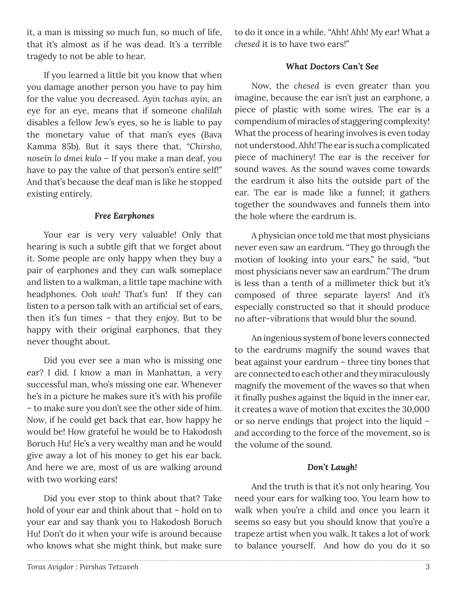it, a man is missing so much fun, so much of life, that it's almost as if he was dead. It's a terrible tragedy to not be able to hear.

If you learned a little bit you know that when you damage another person you have to pay him for the value you decreased. *Ayin tachas ayin,* an eye for an eye, means that if someone *chalilah* disables a fellow Jew's eyes, so he is liable to pay the monetary value of that man's eyes (Bava Kamma 85b). But it says there that, *"Chirsho, nosein lo dmei kulo* – If you make a man deaf, you have to pay the value of that person's entire self!" And that's because the deaf man is like he stopped existing entirely.

# *Free Earphones*

Your ear is very very valuable! Only that hearing is such a subtle gift that we forget about it. Some people are only happy when they buy a pair of earphones and they can walk someplace and listen to a walkman, a little tape machine with headphones. *Ooh wah! That's* fun! If they can listen to a person talk with an artificial set of ears, then it's fun times – that they enjoy. But to be happy with their original earphones, that they never thought about.

Did you ever see a man who is missing one ear? I did. I know a man in Manhattan, a very successful man, who's missing one ear. Whenever he's in a picture he makes sure it's with his profile – to make sure you don't see the other side of him. Now, if he could get back that ear, how happy he would be! How grateful he would be to Hakodosh Boruch Hu! He's a very wealthy man and he would give away a lot of his money to get his ear back. And here we are, most of us are walking around with two working ears!

Did you ever stop to think about that? Take hold of your ear and think about that – hold on to your ear and say thank you to Hakodosh Boruch Hu! Don't do it when your wife is around because who knows what she might think, but make sure

to do it once in a while. "Ahh! Ahh! My ear! What a *chesed* it is to have two ears!"

# *What Doctors Can't See*

Now, the *chesed* is even greater than you imagine, because the ear isn't just an earphone, a piece of plastic with some wires. The ear is a compendium of miracles of staggering complexity! What the process of hearing involves is even today not understood. Ahh! The ear is such a complicated piece of machinery! The ear is the receiver for sound waves. As the sound waves come towards the eardrum it also hits the outside part of the ear. The ear is made like a funnel; it gathers together the soundwaves and funnels them into the hole where the eardrum is.

A physician once told me that most physicians never even saw an eardrum. "They go through the motion of looking into your ears," he said, "but most physicians never saw an eardrum." The drum is less than a tenth of a millimeter thick but it's composed of three separate layers! And it's especially constructed so that it should produce no after-vibrations that would blur the sound.

An ingenious system of bone levers connected to the eardrums magnify the sound waves that beat against your eardrum – three tiny bones that are connected to each other and they miraculously magnify the movement of the waves so that when it finally pushes against the liquid in the inner ear, it creates a wave of motion that excites the 30,000 or so nerve endings that project into the liquid – and according to the force of the movement, so is the volume of the sound.

### *Don't Laugh!*

And the truth is that it's not only hearing. You need your ears for walking too. You learn how to walk when you're a child and once you learn it seems so easy but you should know that you're a trapeze artist when you walk. It takes a lot of work to balance yourself. And how do you do it so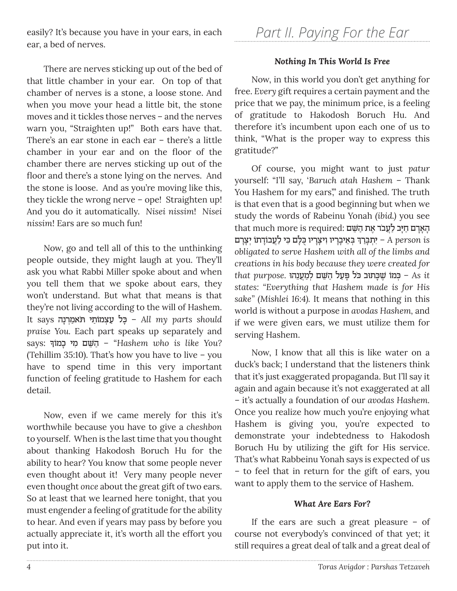easily? It's because you have in your ears, in each ear, a bed of nerves.

There are nerves sticking up out of the bed of that little chamber in your ear. On top of that chamber of nerves is a stone, a loose stone. And when you move your head a little bit, the stone moves and it tickles those nerves – and the nerves warn you, "Straighten up!" Both ears have that. There's an ear stone in each ear – there's a little chamber in your ear and on the floor of the chamber there are nerves sticking up out of the floor and there's a stone lying on the nerves. And the stone is loose. And as you're moving like this, they tickle the wrong nerve - ope! Straighten up! And you do it automatically. *Nisei nissim*! *Nisei nissim*! Ears are so much fun!

Now, go and tell all of this to the unthinking people outside, they might laugh at you. They'll ask you what Rabbi Miller spoke about and when you tell them that we spoke about ears, they won't understand. But what that means is that they're not living according to the will of Hashem. **It says פֿל עַצְמוֹתַי הּמִמְרִנָה** *hll* **my** parts should *praise You.* Each part speaks up separately and says: ָ מוךֹ כָ מיƒ ם≈˘ּׁ הַ" – *Hashem who is like You?*  (Tehillim 35:10). That's how you have to live – you have to spend time in this very important function of feeling gratitude to Hashem for each detail.

Now, even if we came merely for this it's worthwhile because you have to give a *cheshbon* to yourself. When is the last time that you thought about thanking Hakodosh Boruch Hu for the ability to hear? You know that some people never even thought about it! Very many people never even thought *once* about the great gift of two ears. So at least that we learned here tonight, that you must engender a feeling of gratitude for the ability to hear. And even if years may pass by before you actually appreciate it, it's worth all the effort you put into it.

# *Nothing In This World Is Free*

Now, in this world you don't get anything for free. *Every* gift requires a certain payment and the price that we pay, the minimum price, is a feeling of gratitude to Hakodosh Boruch Hu. And therefore it's incumbent upon each one of us to think, "What is the proper way to express this gratitude?"

Of course, you might want to just *patur* yourself: "I'll say, '*Baruch atah Hashem* – Thank You Hashem for my ears," and finished. The truth is that even that is a good beginning but when we study the words of Rabeinu Yonah *(ibid.)* you see that much more is required: הָאָרָם חַיְב לַעֲבֹר אֶת הַשֵּׁם ¿ ¿ּב≈‡ ָיבָריו ƒויָˆָריו ֻּכ ָּלם ƒּכי ַלֲע ֹבוָ"˙ֹו ¿יָˆָרם רךַבָּ ¿˙יƒ – *A person is obligated to serve Hashem with all of the limbs and creations in his body because they were created for it As*¿ *–* ּכ ֹמו ׁ∆˘ָּכ˙ּוב ּ ֹכל ָּפַעל ַה ּׁ≈˘ם ¿לַמֲע≈נ ּהו *.purpose that states: "Everything that Hashem made is for His sake" (Mishlei 16:4).* It means that nothing in this world is without a purpose in *avodas Hashem,* and if we were given ears, we must utilize them for serving Hashem.

Now, I know that all this is like water on a duck's back; I understand that the listeners think that it's just exaggerated propaganda. But I'll say it again and again because it's not exaggerated at all – it's actually a foundation of our *avodas Hashem.*  Once you realize how much you're enjoying what Hashem is giving you, you're expected to demonstrate your indebtedness to Hakodosh Boruch Hu by utilizing the gift for His service. That's what Rabbeinu Yonah says is expected of us – to feel that in return for the gift of ears, you want to apply them to the service of Hashem.

### *What Are Ears For?*

If the ears are such a great pleasure – of course not everybody's convinced of that yet; it still requires a great deal of talk and a great deal of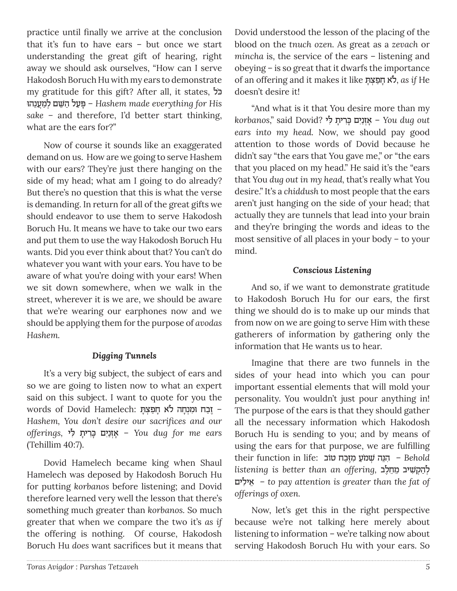practice until finally we arrive at the conclusion that it's fun to have ears – but once we start understanding the great gift of hearing, right away we should ask ourselves, "How can I serve Hakodosh Boruch Hu with my ears to demonstrate my gratitude for this gift? After all, it states, כלֹ ּ <u> פּעל השם למענהו – Hashem made everything for His</u> *sake –* and therefore, I'd better start thinking, what are the ears for?"

Now of course it sounds like an exaggerated demand on us. How are we going to serve Hashem with our ears? They're just there hanging on the side of my head; what am I going to do already? But there's no question that this is what the verse is demanding. In return for all of the great gifts we should endeavor to use them to serve Hakodosh Boruch Hu. It means we have to take our two ears and put them to use the way Hakodosh Boruch Hu wants. Did you ever think about that? You can't do whatever you want with your ears. You have to be aware of what you're doing with your ears! When we sit down somewhere, when we walk in the street, wherever it is we are, we should be aware that we're wearing our earphones now and we should be applying them for the purpose of *avodas Hashem.*

### *Digging Tunnels*

It's a very big subject, the subject of ears and so we are going to listen now to what an expert said on this subject. I want to quote for you the – ∆זַבח ּו ƒמ¿נָחה לֹ‡ ָחַפ ¿ˆ ָּ˙ :Hamelech Dovid of words *Hashem, You don't desire our sacrifices and our offerings,* ליƒּ ˙ָריƒכָּ יםƒנַז‡¿ָ – *You dug for me ears*  (Tehillim 40:7).

Dovid Hamelech became king when Shaul Hamelech was deposed by Hakodosh Boruch Hu for putting *korbanos* before listening; and Dovid therefore learned very well the lesson that there's something much greater than *korbanos.* So much greater that when we compare the two it's *as if* the offering is nothing. Of course, Hakodosh Boruch Hu *does* want sacrifices but it means that

Dovid understood the lesson of the placing of the blood on the *tnuch ozen.* As great as a *zevach* or *mincha* is, the service of the ears – listening and obeying – is so great that it dwarfs the importance of an offering and it makes it like ˙ָּ ˆ¿ פַחָ‡ ֹל, *as if* He doesn't desire it!

"And what is it that You desire more than my korbanos," said Dovid? לאַנ**ים כֵּרית לי** You dug out *ears into my head.* Now, we should pay good attention to those words of Dovid because he didn't say "the ears that You gave me," or "the ears that you placed on my head." He said it's the "ears that You *dug out in my head,* that's really what You desire." It's a *chiddush* to most people that the ears aren't just hanging on the side of your head; that actually they are tunnels that lead into your brain and they're bringing the words and ideas to the most sensitive of all places in your body – to your mind.

# *Conscious Listening*

And so, if we want to demonstrate gratitude to Hakodosh Boruch Hu for our ears, the first thing we should do is to make up our minds that from now on we are going to serve Him with these gatherers of information by gathering only the information that He wants us to hear.

Imagine that there are two funnels in the sides of your head into which you can pour important essential elements that will mold your personality. You wouldn't just pour anything in! The purpose of the ears is that they should gather all the necessary information which Hakodosh Boruch Hu is sending to you; and by means of using the ears for that purpose, we are fulfilling their function in life: הנה שמע מזבח טוב *i*n − Behold listening is better than an offering, להַקְשִׁיב מַחֲל יליםƒ ‡≈ – *to pay attention is greater than the fat of offerings of oxen.*

Now, let's get this in the right perspective because we're not talking here merely about listening to information – we're talking now about serving Hakodosh Boruch Hu with your ears. So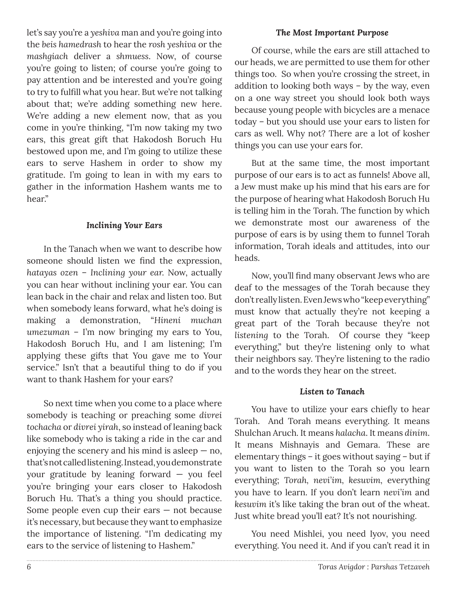let's say you're a *yeshiva* man and you're going into the *beis hamedrash* to hear the *rosh yeshiva* or the *mashgiach* deliver a *shmuess*. Now, of course you're going to listen; of course you're going to pay attention and be interested and you're going to try to fulfill what you hear. But we're not talking about that; we're adding something new here. We're adding a new element now, that as you come in you're thinking, "I'm now taking my two ears, this great gift that Hakodosh Boruch Hu bestowed upon me, and I'm going to utilize these ears to serve Hashem in order to show my gratitude. I'm going to lean in with my ears to gather in the information Hashem wants me to hear."

# *Inclining Your Ears*

In the Tanach when we want to describe how someone should listen we find the expression, *hatayas ozen* – *Inclining your ear.* Now, actually you can hear without inclining your ear. You can lean back in the chair and relax and listen too. But when somebody leans forward, what he's doing is making a demonstration, "*Hineni muchan umezuman* – I'm now bringing my ears to You, Hakodosh Boruch Hu, and I am listening; I'm applying these gifts that You gave me to Your service." Isn't that a beautiful thing to do if you want to thank Hashem for your ears?

So next time when you come to a place where somebody is teaching or preaching some *divrei tochacha* or *divrei yirah*, so instead of leaning back like somebody who is taking a ride in the car and enjoying the scenery and his mind is asleep  $-$  no, that's not called listening. Instead, you demonstrate your gratitude by leaning forward — you feel you're bringing your ears closer to Hakodosh Boruch Hu. That's a thing you should practice. Some people even cup their ears — not because it's necessary, but because they want to emphasize the importance of listening. "I'm dedicating my ears to the service of listening to Hashem."

# *The Most Important Purpose*

Of course, while the ears are still attached to our heads, we are permitted to use them for other things too. So when you're crossing the street, in addition to looking both ways – by the way, even on a one way street you should look both ways because young people with bicycles are a menace today – but you should use your ears to listen for cars as well. Why not? There are a lot of kosher things you can use your ears for.

But at the same time, the most important purpose of our ears is to act as funnels! Above all, a Jew must make up his mind that his ears are for the purpose of hearing what Hakodosh Boruch Hu is telling him in the Torah. The function by which we demonstrate most our awareness of the purpose of ears is by using them to funnel Torah information, Torah ideals and attitudes, into our heads.

Now, you'll find many observant Jews who are deaf to the messages of the Torah because they don't really listen. Even Jews who "keep everything" must know that actually they're not keeping a great part of the Torah because they're not *listening* to the Torah. Of course they "keep everything," but they're listening only to what their neighbors say. They're listening to the radio and to the words they hear on the street.

# *Listen to Tanach*

You have to utilize your ears chiefly to hear Torah. And Torah means everything. It means Shulchan Aruch*.* It means *halacha*. It means *dinim*. It means Mishnayis and Gemara. These are elementary things – it goes without saying – but if you want to listen to the Torah so you learn everything; *Torah, nevi'im, kesuvim,* everything you have to learn. If you don't learn *nevi'im* and *kesuvim* it's like taking the bran out of the wheat. Just white bread you'll eat? It's not nourishing.

You need Mishlei, you need Iyov, you need everything. You need it. And if you can't read it in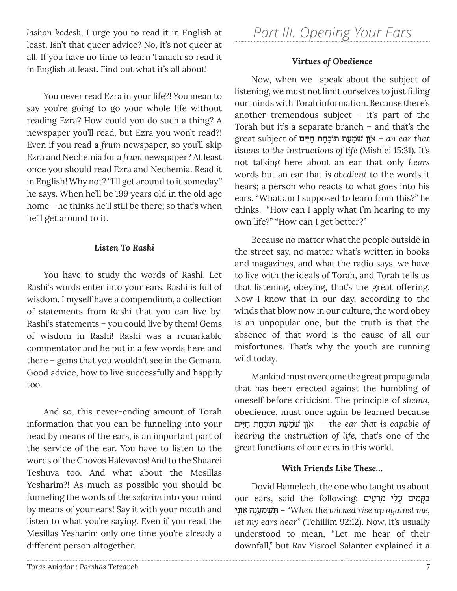*lashon kodesh,* I urge you to read it in English at least. Isn't that queer advice? No, it's not queer at all. If you have no time to learn Tanach so read it in English at least. Find out what it's all about!

You never read Ezra in your life?! You mean to say you're going to go your whole life without reading Ezra? How could you do such a thing? A newspaper you'll read, but Ezra you won't read?! Even if you read a *frum* newspaper, so you'll skip Ezra and Nechemia for a *frum* newspaper? At least once you should read Ezra and Nechemia. Read it in English! Why not? "I'll get around to it someday," he says. When he'll be 199 years old in the old age home – he thinks he'll still be there; so that's when he'll get around to it.

### *Listen To Rashi*

You have to study the words of Rashi. Let Rashi's words enter into your ears. Rashi is full of wisdom. I myself have a compendium, a collection of statements from Rashi that you can live by. Rashi's statements – you could live by them! Gems of wisdom in Rashi! Rashi was a remarkable commentator and he put in a few words here and there – gems that you wouldn't see in the Gemara. Good advice, how to live successfully and happily too.

And so, this never-ending amount of Torah information that you can be funneling into your head by means of the ears, is an important part of the service of the ear. You have to listen to the words of the Chovos Halevavos! And to the Shaarei Teshuva too. And what about the Mesillas Yesharim?! As much as possible you should be funneling the words of the *seforim* into your mind by means of your ears! Say it with your mouth and listen to what you're saying. Even if you read the Mesillas Yesharim only one time you're already a different person altogether.

# *Part III. Opening Your Ears*

# *Virtues of Obedience*

Now, when we speak about the subject of listening, we must not limit ourselves to just filling our minds with Torah information. Because there's another tremendous subject – it's part of the Torah but it's a separate branch – and that's the great subject of יאָן שֹמַ**עַת תּוֹכַחַת חַיִּים a**n ear that *listens to the instructions of life* (Mishlei 15:31). It's not talking here about an ear that only *hears*  words but an ear that is *obedient* to the words it hears; a person who reacts to what goes into his ears. "What am I supposed to learn from this?" he thinks. "How can I apply what I'm hearing to my own life?" "How can I get better?"

Because no matter what the people outside in the street say, no matter what's written in books and magazines, and what the radio says, we have to live with the ideals of Torah, and Torah tells us that listening, obeying, that's the great offering. Now I know that in our day, according to the winds that blow now in our culture, the word obey is an unpopular one, but the truth is that the absence of that word is the cause of all our misfortunes. That's why the youth are running wild today.

Mankind must overcome the great propaganda that has been erected against the humbling of oneself before criticism. The principle of *shema*, obedience, must once again be learned because **ים che ear that is capable of** – **`` א**ָזֶן שֹמַעַת תּוֹכַחַת חַיִּים *hearing the instruction of life,* that's one of the great functions of our ears in this world.

### *With Friends Like These…*

Dovid Hamelech, the one who taught us about our ears, said the following: בַּקֲמִים עַלַי מְרֵעָים ניָז ‡¿ָ נהָע ¿מַ¿˘ׁ˙ ƒּ – *"When the wicked rise up against me, let my ears hear"* (Tehillim 92:12). Now, it's usually understood to mean, "Let me hear of their downfall," but Rav Yisroel Salanter explained it a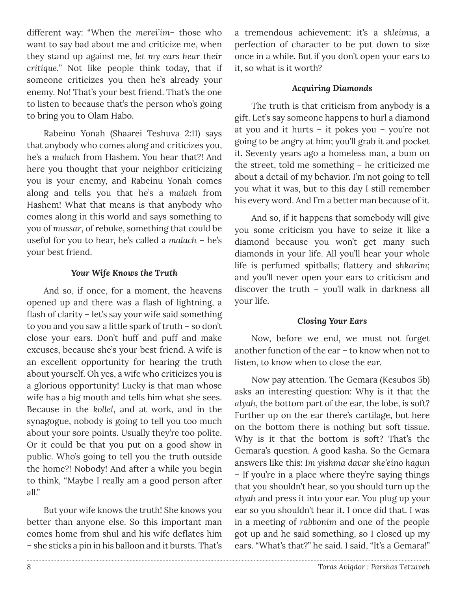different way: "When the *merei'im*– those who want to say bad about me and criticize me, when they stand up against me, *let my ears hear their critique.*" Not like people think today, that if someone criticizes you then he's already your enemy. No! That's your best friend. That's the one to listen to because that's the person who's going to bring you to Olam Habo.

Rabeinu Yonah (Shaarei Teshuva 2:11) says that anybody who comes along and criticizes you, he's a *malach* from Hashem. You hear that?! And here you thought that your neighbor criticizing you is your enemy, and Rabeinu Yonah comes along and tells you that he's a *malach* from Hashem! What that means is that anybody who comes along in this world and says something to you of *mussar*, of rebuke, something that could be useful for you to hear, he's called a *malach* – he's your best friend.

### *Your Wife Knows the Truth*

And so, if once, for a moment, the heavens opened up and there was a flash of lightning, a flash of clarity – let's say your wife said something to you and you saw a little spark of truth – so don't close your ears. Don't huff and puff and make excuses, because she's your best friend. A wife is an excellent opportunity for hearing the truth about yourself. Oh yes, a wife who criticizes you is a glorious opportunity! Lucky is that man whose wife has a big mouth and tells him what she sees. Because in the *kollel*, and at work, and in the synagogue, nobody is going to tell you too much about your sore points. Usually they're too polite. Or it could be that you put on a good show in public. Who's going to tell you the truth outside the home?! Nobody! And after a while you begin to think, "Maybe I really am a good person after all."

But your wife knows the truth! She knows you better than anyone else. So this important man comes home from shul and his wife deflates him – she sticks a pin in his balloon and it bursts. That's

a tremendous achievement; it's a *shleimus*, a perfection of character to be put down to size once in a while. But if you don't open your ears to it, so what is it worth?

# *Acquiring Diamonds*

The truth is that criticism from anybody is a gift. Let's say someone happens to hurl a diamond at you and it hurts – it pokes you – you're not going to be angry at him; you'll grab it and pocket it. Seventy years ago a homeless man, a bum on the street, told me something – he criticized me about a detail of my behavior. I'm not going to tell you what it was, but to this day I still remember his every word. And I'm a better man because of it.

And so, if it happens that somebody will give you some criticism you have to seize it like a diamond because you won't get many such diamonds in your life. All you'll hear your whole life is perfumed spitballs; flattery and *shkarim*; and you'll never open your ears to criticism and discover the truth – you'll walk in darkness all your life.

### *Closing Your Ears*

Now, before we end, we must not forget another function of the ear – to know when not to listen, to know when to close the ear.

Now pay attention. The Gemara (Kesubos 5b) asks an interesting question: Why is it that the *alyah*, the bottom part of the ear, the lobe, is soft? Further up on the ear there's cartilage, but here on the bottom there is nothing but soft tissue. Why is it that the bottom is soft? That's the Gemara's question. A good kasha. So the Gemara answers like this: *Im yishma davar she'eino hagun* – If you're in a place where they're saying things that you shouldn't hear, so you should turn up the *alyah* and press it into your ear. You plug up your ear so you shouldn't hear it. I once did that. I was in a meeting of *rabbonim* and one of the people got up and he said something, so I closed up my ears. "What's that?" he said. I said, "It's a Gemara!"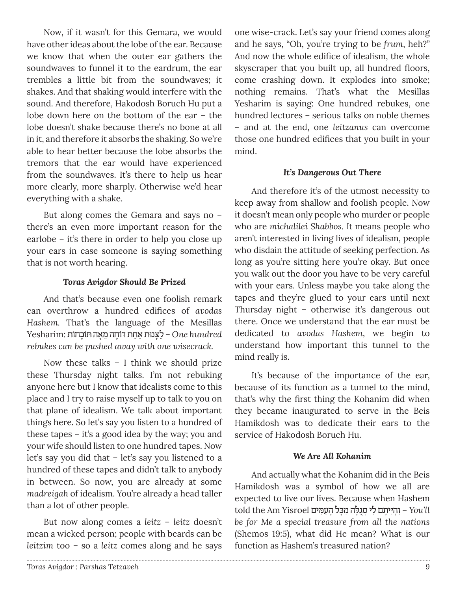Now, if it wasn't for this Gemara, we would have other ideas about the lobe of the ear. Because we know that when the outer ear gathers the soundwaves to funnel it to the eardrum, the ear trembles a little bit from the soundwaves; it shakes. And that shaking would interfere with the sound. And therefore, Hakodosh Boruch Hu put a lobe down here on the bottom of the ear – the lobe doesn't shake because there's no bone at all in it, and therefore it absorbs the shaking. So we're able to hear better because the lobe absorbs the tremors that the ear would have experienced from the soundwaves. It's there to help us hear more clearly, more sharply. Otherwise we'd hear everything with a shake.

But along comes the Gemara and says no – there's an even more important reason for the earlobe – it's there in order to help you close up your ears in case someone is saying something that is not worth hearing.

### *Toras Avigdor Should Be Prized*

And that's because even one foolish remark can overthrow a hundred edifices of *avodas Hashem.* That's the language of the Mesillas  *hundred One*≈ – לָˆ ּנו˙ ַ ‡ַח˙ ּ "ֹו∆חה ≈מָ‡ה ּ˙ֹוָכ ֹחו˙ :Yesharim *rebukes can be pushed away with one wisecrack.*

Now these talks – I think we should prize these Thursday night talks. I'm not rebuking anyone here but I know that idealists come to this place and I try to raise myself up to talk to you on that plane of idealism. We talk about important things here. So let's say you listen to a hundred of these tapes – it's a good idea by the way; you and your wife should listen to one hundred tapes. Now let's say you did that – let's say you listened to a hundred of these tapes and didn't talk to anybody in between. So now, you are already at some *madreigah* of idealism. You're already a head taller than a lot of other people.

But now along comes a *leitz* – *leitz* doesn't mean a wicked person; people with beards can be *leitzim* too – so a *leitz* comes along and he says

one wise-crack. Let's say your friend comes along and he says, "Oh, you're trying to be *frum*, heh?" And now the whole edifice of idealism, the whole skyscraper that you built up, all hundred floors, come crashing down. It explodes into smoke; nothing remains. That's what the Mesillas Yesharim is saying: One hundred rebukes, one hundred lectures – serious talks on noble themes – and at the end, one *leitzanus* can overcome those one hundred edifices that you built in your mind.

# *It's Dangerous Out There*

And therefore it's of the utmost necessity to keep away from shallow and foolish people. Now it doesn't mean only people who murder or people who are *michalilei Shabbos*. It means people who aren't interested in living lives of idealism, people who disdain the attitude of seeking perfection*.* As long as you're sitting here you're okay. But once you walk out the door you have to be very careful with your ears. Unless maybe you take along the tapes and they're glued to your ears until next Thursday night – otherwise it's dangerous out there. Once we understand that the ear must be dedicated to *avodas Hashem*, we begin to understand how important this tunnel to the mind really is.

It's because of the importance of the ear, because of its function as a tunnel to the mind, that's why the first thing the Kohanim did when they became inaugurated to serve in the Beis Hamikdosh was to dedicate their ears to the service of Hakodosh Boruch Hu.

### *We Are All Kohanim*

And actually what the Kohanim did in the Beis Hamikdosh was a symbol of how we all are expected to live our lives. Because when Hashem told the Am Yisroel הַזְיִיתֵם לִי סְגִלֵּה מִכָּל הַעָ*ׁמֵּיִם* - You'll *be for Me a special treasure from all the nations* (Shemos 19:5), what did He mean? What is our function as Hashem's treasured nation?